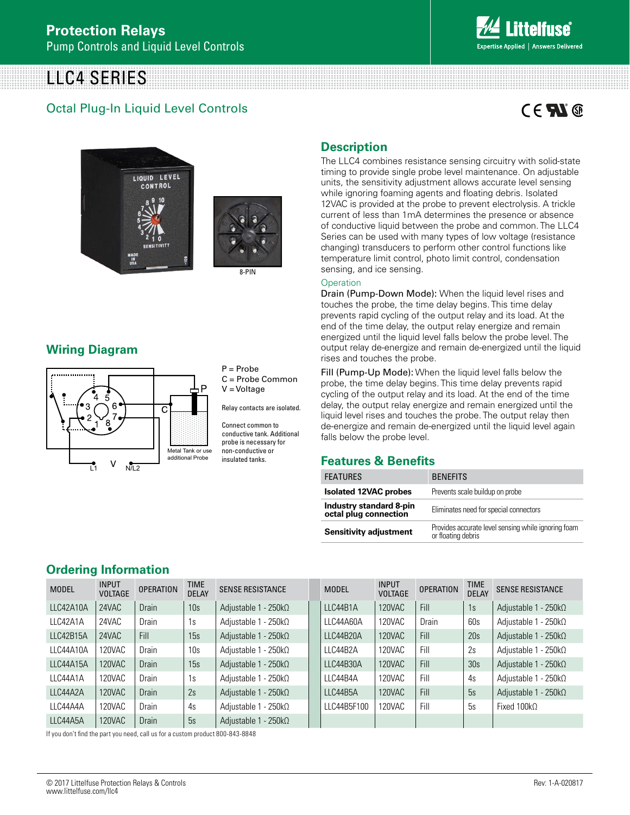# LLC4 SERIES

## Octal Plug-In Liquid Level Controls

# $C \in \mathbf{F} \mathbf{N}$





## **Wiring Diagram**



P = Probe C = Probe Common V = Voltage

Relay contacts are isolated.

Connect common to conductive tank. Additional probe is necessary for non-conductive or insulated tanks.

## **Description**

The LLC4 combines resistance sensing circuitry with solid-state timing to provide single probe level maintenance. On adjustable units, the sensitivity adjustment allows accurate level sensing while ignoring foaming agents and floating debris. Isolated 12VAC is provided at the probe to prevent electrolysis. A trickle current of less than 1mA determines the presence or absence of conductive liquid between the probe and common. The LLC4 Series can be used with many types of low voltage (resistance changing) transducers to perform other control functions like temperature limit control, photo limit control, condensation sensing, and ice sensing.

#### **Operation**

Drain (Pump-Down Mode): When the liquid level rises and touches the probe, the time delay begins. This time delay prevents rapid cycling of the output relay and its load. At the end of the time delay, the output relay energize and remain energized until the liquid level falls below the probe level. The output relay de-energize and remain de-energized until the liquid rises and touches the probe.

Fill (Pump-Up Mode): When the liquid level falls below the probe, the time delay begins. This time delay prevents rapid cycling of the output relay and its load. At the end of the time delay, the output relay energize and remain energized until the liquid level rises and touches the probe. The output relay then de-energize and remain de-energized until the liquid level again falls below the probe level.

## **Features & Benefits**

| <b>FEATURES</b>                                         | <b>BENEFITS</b>                                                           |
|---------------------------------------------------------|---------------------------------------------------------------------------|
| <b>Isolated 12VAC probes</b>                            | Prevents scale buildup on probe                                           |
| <b>Industry standard 8-pin</b><br>octal plug connection | Eliminates need for special connectors                                    |
| <b>Sensitivity adjustment</b>                           | Provides accurate level sensing while ignoring foam<br>or floating debris |

## **Ordering Information**

| <b>MODEL</b> | <b>INPUT</b><br><b>VOLTAGE</b> | <b>OPERATION</b> | <b>TIME</b><br><b>DELAY</b> | <b>SENSE RESISTANCE</b>      | <b>MODEL</b> | <b>INPUT</b><br><b>VOLTAGE</b> | <b>OPERATION</b> | <b>TIME</b><br><b>DELAY</b> | <b>SENSE RESISTANCE</b>      |
|--------------|--------------------------------|------------------|-----------------------------|------------------------------|--------------|--------------------------------|------------------|-----------------------------|------------------------------|
| LLC42A10A    | 24VAC                          | <b>Drain</b>     | 10 <sub>s</sub>             | Adjustable 1 - 250 $k\Omega$ | LLC44B1A     | 120VAC                         | Fill             | 1s                          | Adjustable 1 - 250 $k\Omega$ |
| LLC42A1A     | 24VAC                          | Drain            | 1s                          | Adjustable 1 - 250 $k\Omega$ | LLC44A60A    | 120VAC                         | <b>Drain</b>     | 60s                         | Adjustable 1 - 250k $\Omega$ |
| LLC42B15A    | 24VAC                          | Fill             | 15s                         | Adjustable $1 - 250k$        | LLC44B20A    | 120VAC                         | Fill             | 20s                         | Adjustable $1 - 250k\Omega$  |
| LLC44A10A    | 120VAC                         | Drain            | 10 <sub>s</sub>             | Adjustable 1 - 250kΩ         | LLC44B2A     | 120VAC                         | Fill             | 2s                          | Adjustable 1 - 250kΩ         |
| LLC44A15A    | 120VAC                         | <b>Drain</b>     | 15s                         | Adjustable 1 - 250 $k\Omega$ | LLC44B30A    | 120VAC                         | Fill             | 30s                         | Adjustable 1 - 250 $k\Omega$ |
| LLC44A1A     | 120VAC                         | Drain            | 1s                          | Adjustable 1 - 250kΩ         | LLC44B4A     | 120VAC                         | Fill             | 4s                          | Adjustable 1 - 250kΩ         |
| LLC44A2A     | 120VAC                         | <b>Drain</b>     | 2s                          | Adjustable $1 - 250k$        | LLC44B5A     | 120VAC                         | Fill             | 5s                          | Adjustable 1 - 250 $k\Omega$ |
| LLC44A4A     | 120VAC                         | Drain            | 4s                          | Adjustable 1 - 250 $k\Omega$ | LLC44B5F100  | 120VAC                         | Fill             | 5s                          | Fixed 100k $\Omega$          |
| LLC44A5A     | 120VAC                         | <b>Drain</b>     | 5s                          | Adjustable 1 - 250 $k\Omega$ |              |                                |                  |                             |                              |

If you don't find the part you need, call us for a custom product 800-843-8848